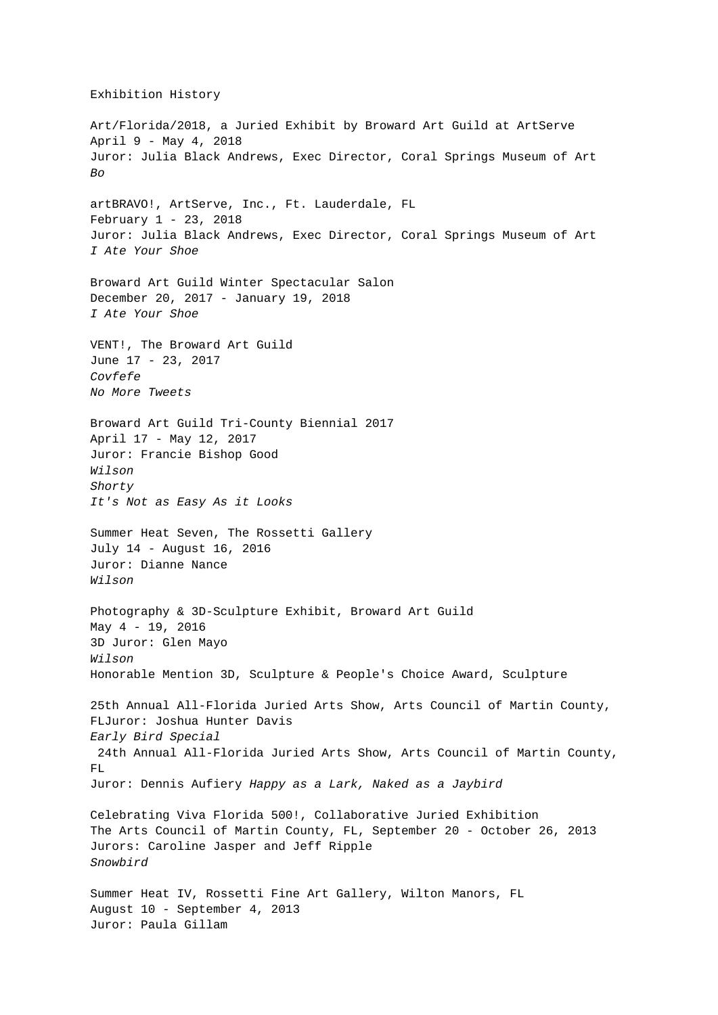Art/Florida/2018, a Juried Exhibit by Broward Art Guild at ArtServe April 9 - May 4, 2018 Juror: Julia Black Andrews, Exec Director, Coral Springs Museum of Art  $Bo$ artBRAVO!, ArtServe, Inc., Ft. Lauderdale, FL February 1 - 23, 2018 Juror: Julia Black Andrews, Exec Director, Coral Springs Museum of Art I Ate Your Shoe Broward Art Guild Winter Spectacular Salon December 20, 2017 - January 19, 2018 I Ate Your Shoe VENT!, The Broward Art Guild June 17 - 23, 2017 Covfefe No More Tweets Broward Art Guild Tri-County Biennial 2017 April 17 - May 12, 2017 Juror: Francie Bishop Good Wilson Shorty It's Not as Easy As it Looks Summer Heat Seven, The Rossetti Gallery July 14 - August 16, 2016 Juror: Dianne Nance Wilson Photography & 3D-Sculpture Exhibit, Broward Art Guild May  $4 - 19$ , 2016 3D Juror: Glen Mayo Wilson Honorable Mention 3D, Sculpture & People's Choice Award, Sculpture 25th Annual All-Florida Juried Arts Show, Arts Council of Martin County, FLJuror: Joshua Hunter Davis Early Bird Special 24th Annual All-Florida Juried Arts Show, Arts Council of Martin County, FL. Juror: Dennis Aufiery Happy as a Lark, Naked as a Jaybird Celebrating Viva Florida 500!, Collaborative Juried Exhibition The Arts Council of Martin County, FL, September 20 - October 26, 2013 Jurors: Caroline Jasper and Jeff Ripple Snowbird Summer Heat IV, Rossetti Fine Art Gallery, Wilton Manors, FL August 10 - September 4, 2013 Juror: Paula Gillam

Exhibition History